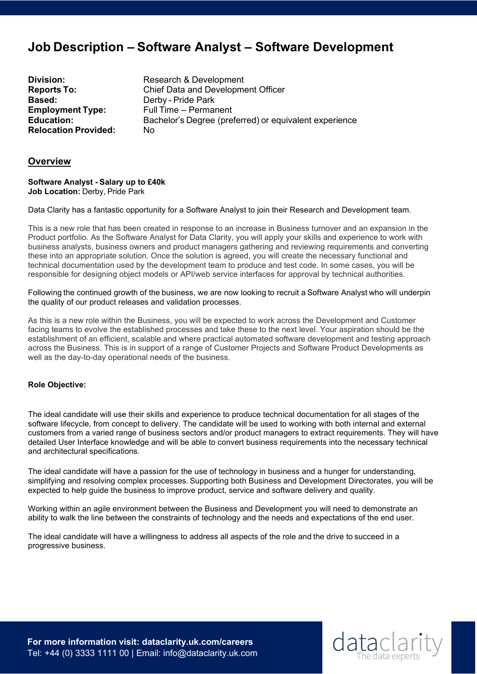# **Job Description – Software Analyst – Software Development**

**Based:** Derby - Pride Park **Relocation Provided:** No

**Division:** Research & Development **Reports To:** Chief Data and Development Officer **Employment Type:** Full Time – Permanent<br> **Education:** Bachelor's Degree (pre **Education:** Bachelor's Degree (preferred) or equivalent experience

# **Overview**

**Software Analyst - Salary up to £40k Job Location:**Derby, Pride Park 

Data Clarity has a fantastic opportunity for a Software Analyst to join their Research and Development team.

This is a new role that has been created in response to an increase in Business turnover and an expansion in the Product portfolio. As the Software Analyst for Data Clarity, you will apply your skills and experience to work with business analysts, business owners and product managers gathering and reviewing requirements and converting these into an appropriate solution. Once the solution is agreed, you will create the necessary functional and technical documentation used by the development team to produce and test code. In some cases, you will be responsible for designing object models or API/web service interfaces for approval by technical authorities.

Following the continued growth of the business, we are now looking to recruit a Software Analyst who will underpin the quality of our product releases and validation processes.

As this is a new role within the Business, you will be expected to work across the Development and Customer facing teams to evolve the established processes and take these to the next level. Your aspiration should be the establishment of an efficient, scalable and where practical automated software development and testing approach across the Business. This is in support of a range of Customer Projects and Software Product Developments as well as the day-to-day operational needs of the business.

# **Role Objective:**

The ideal candidate will use their skills and experience to produce technical documentation for all stages of the software lifecycle, from concept to delivery. The candidate will be used to working with both internal and external customers from a varied range of business sectors and/or product managers to extract requirements. They will have detailed User Interface knowledge and will be able to convert business requirements into the necessary technical and architectural specifications.

The ideal candidate will have a passion for the use of technology in business and a hunger for understanding, simplifying and resolving complex processes. Supporting both Business and Development Directorates, you will be expected to help guide the business to improve product, service and software delivery and quality.

Working within an agile environment between the Business and Development you will need to demonstrate an ability to walk the line between the constraints of technology and the needs and expectations of the end user.

The ideal candidate will have a willingness to address all aspects of the role and the drive to succeed in a progressive business.

**For more information visit: dataclarity.uk.com/careers** Tel: +44 (0) 3333 1111 00 | Email: info@dataclarity.uk.com